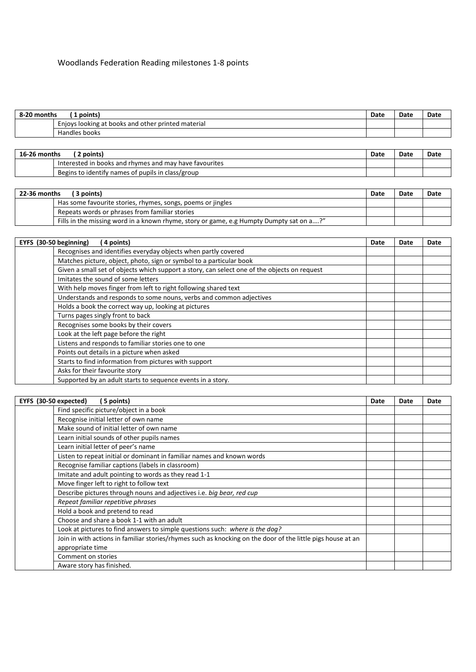## Woodlands Federation Reading milestones 1-8 points

| $8 - 20$<br>) months<br>points) |                                                           | Date | Date | Date |
|---------------------------------|-----------------------------------------------------------|------|------|------|
|                                 | Enjoys looking at I<br>: books and other printed material |      |      |      |
|                                 | Handles books                                             |      |      |      |

| 16-26 months<br>points) |                                                        | Date | Date | Date |
|-------------------------|--------------------------------------------------------|------|------|------|
|                         | Interested in books and rhymes and may have favourites |      |      |      |
|                         | Begins to identify names of pupils in class/group      |      |      |      |

| 22-36 months<br>3 points) |                                                                                         | Date | Date | Date |
|---------------------------|-----------------------------------------------------------------------------------------|------|------|------|
|                           | Has some favourite stories, rhymes, songs, poems or jingles                             |      |      |      |
|                           | Repeats words or phrases from familiar stories                                          |      |      |      |
|                           | Fills in the missing word in a known rhyme, story or game, e.g Humpty Dumpty sat on a?" |      |      |      |

| EYFS (30-50 beginning)<br>(4 points)                                                         | Date | Date | Date |
|----------------------------------------------------------------------------------------------|------|------|------|
| Recognises and identifies everyday objects when partly covered                               |      |      |      |
| Matches picture, object, photo, sign or symbol to a particular book                          |      |      |      |
| Given a small set of objects which support a story, can select one of the objects on request |      |      |      |
| Imitates the sound of some letters                                                           |      |      |      |
| With help moves finger from left to right following shared text                              |      |      |      |
| Understands and responds to some nouns, verbs and common adjectives                          |      |      |      |
| Holds a book the correct way up, looking at pictures                                         |      |      |      |
| Turns pages singly front to back                                                             |      |      |      |
| Recognises some books by their covers                                                        |      |      |      |
| Look at the left page before the right                                                       |      |      |      |
| Listens and responds to familiar stories one to one                                          |      |      |      |
| Points out details in a picture when asked                                                   |      |      |      |
| Starts to find information from pictures with support                                        |      |      |      |
| Asks for their favourite story                                                               |      |      |      |
| Supported by an adult starts to sequence events in a story.                                  |      |      |      |

| EYFS (30-50 expected)<br>(5 points)                                                                         | Date | Date | Date |
|-------------------------------------------------------------------------------------------------------------|------|------|------|
| Find specific picture/object in a book                                                                      |      |      |      |
| Recognise initial letter of own name                                                                        |      |      |      |
| Make sound of initial letter of own name                                                                    |      |      |      |
| Learn initial sounds of other pupils names                                                                  |      |      |      |
| Learn initial letter of peer's name                                                                         |      |      |      |
| Listen to repeat initial or dominant in familiar names and known words                                      |      |      |      |
| Recognise familiar captions (labels in classroom)                                                           |      |      |      |
| Imitate and adult pointing to words as they read 1-1                                                        |      |      |      |
| Move finger left to right to follow text                                                                    |      |      |      |
| Describe pictures through nouns and adjectives i.e. big bear, red cup                                       |      |      |      |
| Repeat familiar repetitive phrases                                                                          |      |      |      |
| Hold a book and pretend to read                                                                             |      |      |      |
| Choose and share a book 1-1 with an adult                                                                   |      |      |      |
| Look at pictures to find answers to simple questions such: where is the dog?                                |      |      |      |
| Join in with actions in familiar stories/rhymes such as knocking on the door of the little pigs house at an |      |      |      |
| appropriate time                                                                                            |      |      |      |
| Comment on stories                                                                                          |      |      |      |
| Aware story has finished.                                                                                   |      |      |      |